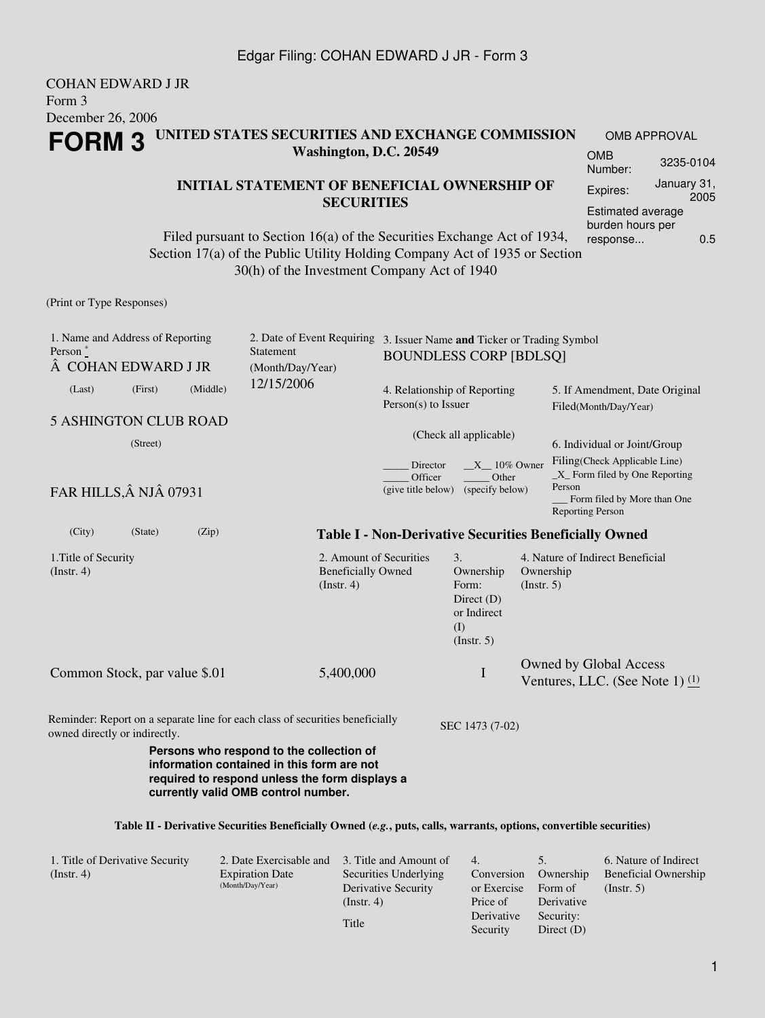#### COHAN EDWARD J JR Form 3 December 26, 2006 **FORM 3 UNITED STATES SECURITIES AND EXCHANGE COMMISSION Washington, D.C. 20549** OMB APPROVAL OMB Number: 3235-0104

### **INITIAL STATEMENT OF BENEFICIAL OWNERSHIP OF SECURITIES**

Filed pursuant to Section 16(a) of the Securities Exchange Act of 1934, Section 17(a) of the Public Utility Holding Company Act of 1935 or Section 30(h) of the Investment Company Act of 1940

(Print or Type Responses)

| 1. Name and Address of Reporting<br>Person $*$<br>COHAN EDWARD J JR |         |          | 2. Date of Event Requiring<br>Statement<br>(Month/Day/Year)                                                                              | 3. Issuer Name and Ticker or Trading Symbol<br><b>BOUNDLESS CORP [BDLSQ]</b> |                                                                                                                                                                      |                                                         |                                                               |  |
|---------------------------------------------------------------------|---------|----------|------------------------------------------------------------------------------------------------------------------------------------------|------------------------------------------------------------------------------|----------------------------------------------------------------------------------------------------------------------------------------------------------------------|---------------------------------------------------------|---------------------------------------------------------------|--|
| (Last)                                                              | (First) | (Middle) | 12/15/2006                                                                                                                               | 4. Relationship of Reporting<br>$Person(s)$ to Issuer                        |                                                                                                                                                                      | 5. If Amendment, Date Original<br>Filed(Month/Day/Year) |                                                               |  |
| <b>5 ASHINGTON CLUB ROAD</b>                                        |         |          |                                                                                                                                          |                                                                              |                                                                                                                                                                      |                                                         |                                                               |  |
| (Street)                                                            |         |          | (Check all applicable)                                                                                                                   |                                                                              | 6. Individual or Joint/Group<br>Filing(Check Applicable Line)<br>$X$ Form filed by One Reporting<br>Person<br>Form filed by More than One<br><b>Reporting Person</b> |                                                         |                                                               |  |
| FAR HILLS, Â NJÂ 07931                                              |         |          | Director<br>Officer<br>(give title below)                                                                                                |                                                                              |                                                                                                                                                                      |                                                         | $X = 10\%$ Owner<br>Other<br>(specify below)                  |  |
| (City)                                                              | (State) | (Zip)    |                                                                                                                                          |                                                                              |                                                                                                                                                                      |                                                         | <b>Table I - Non-Derivative Securities Beneficially Owned</b> |  |
| 1. Title of Security<br>(Instr. 4)                                  |         |          | 2. Amount of Securities<br><b>Beneficially Owned</b><br>(Insert. 4)                                                                      |                                                                              | 3.<br>Ownership<br>Form:<br>Direct $(D)$<br>or Indirect<br>(I)<br>(Insert. 5)                                                                                        | Ownership<br>(Insert. 5)                                | 4. Nature of Indirect Beneficial                              |  |
| Common Stock, par value \$.01                                       |         |          | 5,400,000                                                                                                                                |                                                                              | $\mathbf I$                                                                                                                                                          |                                                         | Owned by Global Access<br>Ventures, LLC. (See Note 1) $(1)$   |  |
| owned directly or indirectly.                                       |         |          | Reminder: Report on a separate line for each class of securities beneficially                                                            |                                                                              | SEC 1473 (7-02)                                                                                                                                                      |                                                         |                                                               |  |
|                                                                     |         |          | Persons who respond to the collection of<br>information contained in this form are not<br>required to respond unless the form displays a |                                                                              |                                                                                                                                                                      |                                                         |                                                               |  |

#### **Table II - Derivative Securities Beneficially Owned (***e.g.***, puts, calls, warrants, options, convertible securities)**

**currently valid OMB control number.**

| 1. Title of Derivative Security<br>$($ Instr. 4 $)$ | 2. Date Exercisable and 3. Title and Amount of<br><b>Expiration Date</b><br>(Month/Day/Year) | Securities Underlying<br>Derivative Security<br>$($ Instr. 4 $)$<br>Title | $\overline{4}$<br>Conversion<br>or Exercise<br>Price of<br>Derivative | Ownership<br>Form of<br>Derivative<br>Security: | 6. Nature of Indirect<br><b>Beneficial Ownership</b><br>$($ Instr. 5 $)$ |
|-----------------------------------------------------|----------------------------------------------------------------------------------------------|---------------------------------------------------------------------------|-----------------------------------------------------------------------|-------------------------------------------------|--------------------------------------------------------------------------|
|                                                     |                                                                                              |                                                                           | Security                                                              | Direct $(D)$                                    |                                                                          |

Expires: January 31,

Estimated average burden hours per response... 0.5

2005